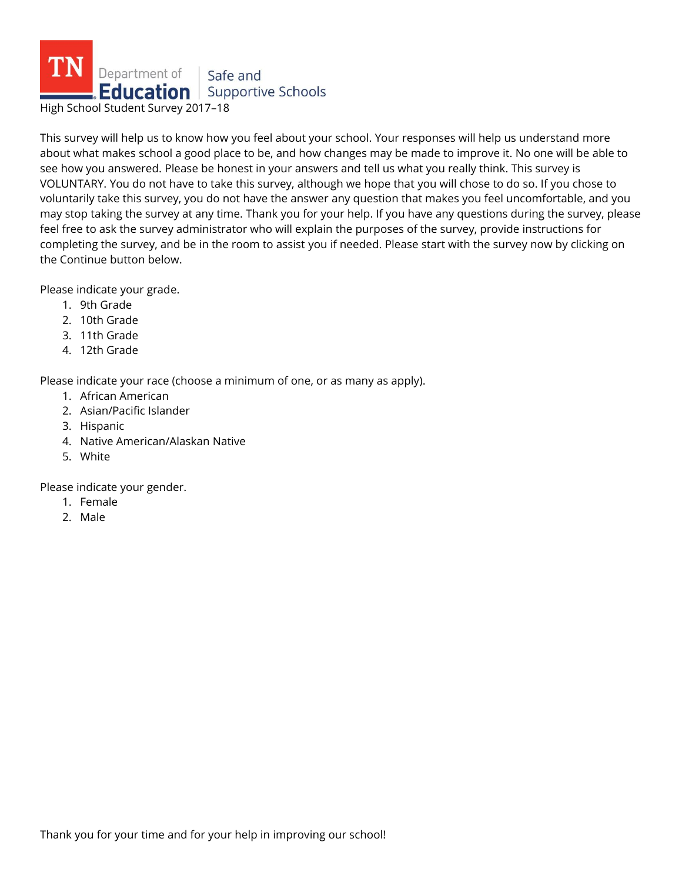

This survey will help us to know how you feel about your school. Your responses will help us understand more about what makes school a good place to be, and how changes may be made to improve it. No one will be able to see how you answered. Please be honest in your answers and tell us what you really think. This survey is VOLUNTARY. You do not have to take this survey, although we hope that you will chose to do so. If you chose to voluntarily take this survey, you do not have the answer any question that makes you feel uncomfortable, and you may stop taking the survey at any time. Thank you for your help. If you have any questions during the survey, please feel free to ask the survey administrator who will explain the purposes of the survey, provide instructions for completing the survey, and be in the room to assist you if needed. Please start with the survey now by clicking on the Continue button below.

Please indicate your grade.

- 1. 9th Grade
- 2. 10th Grade
- 3. 11th Grade
- 4. 12th Grade

Please indicate your race (choose a minimum of one, or as many as apply).

- 1. African American
- 2. Asian/Pacific Islander
- 3. Hispanic
- 4. Native American/Alaskan Native
- 5. White

Please indicate your gender.

- 1. Female
- 2. Male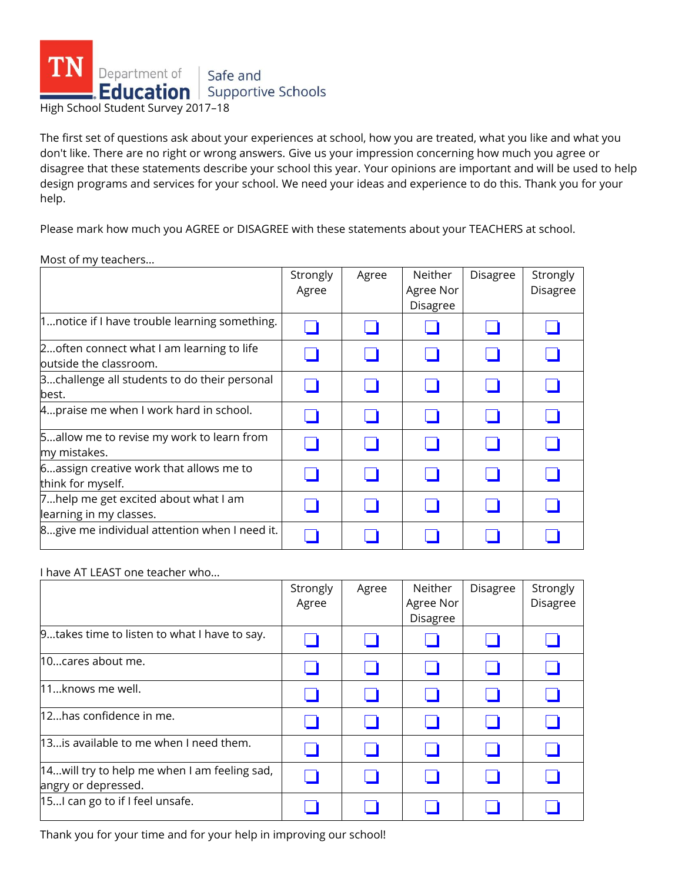

The first set of questions ask about your experiences at school, how you are treated, what you like and what you don't like. There are no right or wrong answers. Give us your impression concerning how much you agree or disagree that these statements describe your school this year. Your opinions are important and will be used to help design programs and services for your school. We need your ideas and experience to do this. Thank you for your help.

Please mark how much you AGREE or DISAGREE with these statements about your TEACHERS at school.

Most of my teachers...

|                                                                      | Strongly<br>Agree | Agree | Neither<br>Agree Nor<br>Disagree | <b>Disagree</b> | Strongly<br>Disagree |
|----------------------------------------------------------------------|-------------------|-------|----------------------------------|-----------------|----------------------|
| 1notice if I have trouble learning something.                        |                   |       |                                  |                 |                      |
| 2 often connect what I am learning to life<br>outside the classroom. |                   |       |                                  |                 |                      |
| 3challenge all students to do their personal<br>best.                |                   |       |                                  |                 |                      |
| 4praise me when I work hard in school.                               |                   |       |                                  |                 |                      |
| 5allow me to revise my work to learn from<br>my mistakes.            |                   |       |                                  |                 |                      |
| 6. assign creative work that allows me to<br>think for myself.       |                   |       |                                  |                 |                      |
| 7help me get excited about what I am<br>learning in my classes.      |                   |       |                                  |                 |                      |
| 8give me individual attention when I need it.                        |                   |       |                                  |                 |                      |

I have AT LEAST one teacher who...

|                                                                     | Strongly<br>Agree | Agree | Neither<br>Agree Nor<br>Disagree | <b>Disagree</b> | Strongly<br>Disagree |
|---------------------------------------------------------------------|-------------------|-------|----------------------------------|-----------------|----------------------|
| 9takes time to listen to what I have to say.                        |                   |       |                                  |                 |                      |
| 10cares about me.                                                   |                   |       |                                  |                 |                      |
| 11knows me well.                                                    |                   |       |                                  |                 |                      |
| 12has confidence in me.                                             |                   |       |                                  |                 |                      |
| 13 is available to me when I need them.                             |                   |       |                                  |                 |                      |
| 14will try to help me when I am feeling sad,<br>angry or depressed. |                   |       |                                  |                 |                      |
| 15I can go to if I feel unsafe.                                     |                   |       |                                  |                 |                      |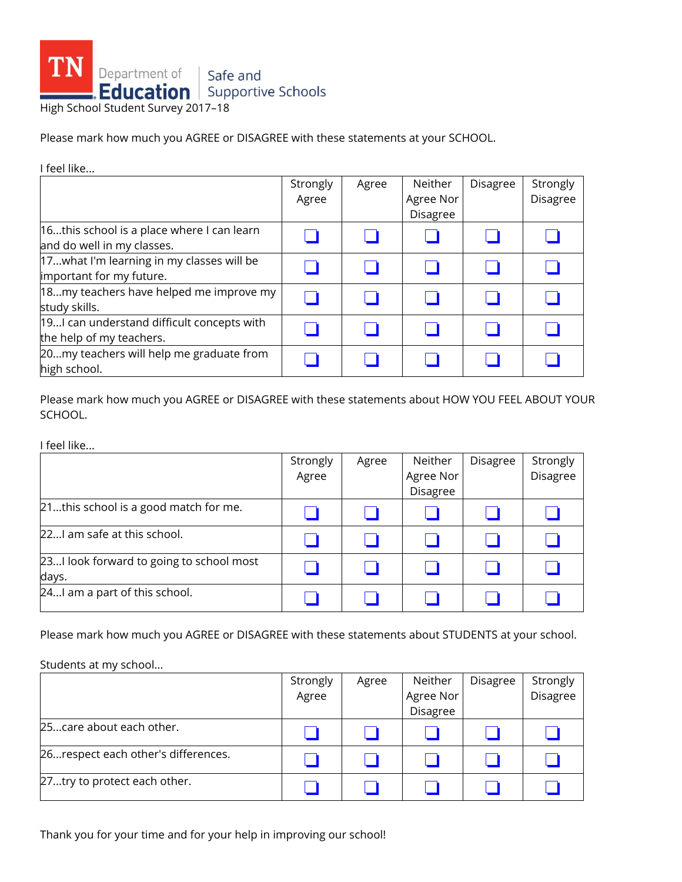

Please mark how much you AGREE or DISAGREE with these statements at your SCHOOL.

| I feel like                                                              |                   |       |                                  |                 |                      |
|--------------------------------------------------------------------------|-------------------|-------|----------------------------------|-----------------|----------------------|
|                                                                          | Strongly<br>Agree | Agree | Neither<br>Agree Nor<br>Disagree | <b>Disagree</b> | Strongly<br>Disagree |
| 16this school is a place where I can learn<br>and do well in my classes. |                   |       |                                  |                 |                      |
| 17what I'm learning in my classes will be<br>important for my future.    |                   |       |                                  |                 |                      |
| 18my teachers have helped me improve my<br>study skills.                 |                   |       |                                  |                 |                      |
| 19 can understand difficult concepts with<br>the help of my teachers.    |                   |       |                                  |                 |                      |
| 20my teachers will help me graduate from<br>high school.                 |                   |       |                                  |                 |                      |

Please mark how much you AGREE or DISAGREE with these statements about HOW YOU FEEL ABOUT YOUR SCHOOL.

I feel like...

|                                                   | Strongly<br>Agree | Agree | Neither<br>Agree Nor<br>Disagree | Disagree | Strongly<br>Disagree |
|---------------------------------------------------|-------------------|-------|----------------------------------|----------|----------------------|
| 21this school is a good match for me.             |                   |       |                                  |          |                      |
| 22I am safe at this school.                       |                   |       |                                  |          |                      |
| 23I look forward to going to school most<br>days. |                   |       |                                  |          |                      |
| 24I am a part of this school.                     |                   |       |                                  |          |                      |

Please mark how much you AGREE or DISAGREE with these statements about STUDENTS at your school.

Students at my school...

|                                     | Strongly<br>Agree | Agree | Neither<br>Agree Nor | Disagree | Strongly<br>Disagree |
|-------------------------------------|-------------------|-------|----------------------|----------|----------------------|
|                                     |                   |       | Disagree             |          |                      |
| 25care about each other.            |                   |       |                      |          |                      |
| 26respect each other's differences. |                   |       |                      |          |                      |
| 27try to protect each other.        |                   |       |                      |          |                      |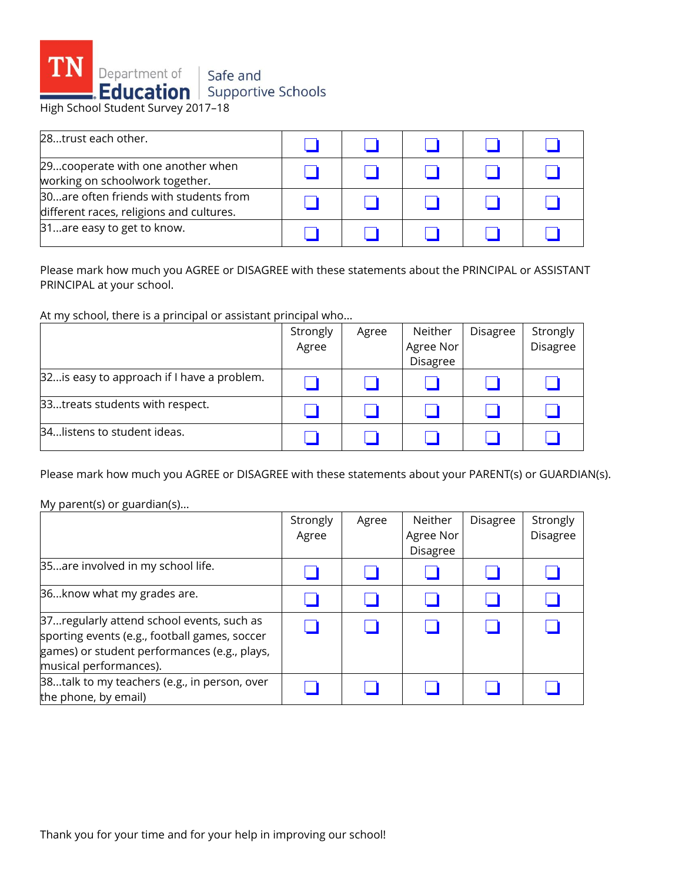

| 28trust each other.                                                                  |  |  |  |
|--------------------------------------------------------------------------------------|--|--|--|
| 29. cooperate with one another when<br>working on schoolwork together.               |  |  |  |
| 30. are often friends with students from<br>different races, religions and cultures. |  |  |  |
| 31are easy to get to know.                                                           |  |  |  |

Please mark how much you AGREE or DISAGREE with these statements about the PRINCIPAL or ASSISTANT PRINCIPAL at your school.

At my school, there is a principal or assistant principal who...

|                                             | Strongly | Agree | Neither   | <b>Disagree</b> | Strongly |
|---------------------------------------------|----------|-------|-----------|-----------------|----------|
|                                             | Agree    |       | Agree Nor |                 | Disagree |
|                                             |          |       | Disagree  |                 |          |
| [32is easy to approach if I have a problem. |          |       |           |                 |          |
| 33treats students with respect.             |          |       |           |                 |          |
| 34listens to student ideas.                 |          |       |           |                 |          |

Please mark how much you AGREE or DISAGREE with these statements about your PARENT(s) or GUARDIAN(s).

## My parent(s) or guardian(s)...

|                                                                                                                                                                      | Strongly<br>Agree | Agree | Neither<br>Agree Nor<br>Disagree | <b>Disagree</b> | Strongly<br>Disagree |
|----------------------------------------------------------------------------------------------------------------------------------------------------------------------|-------------------|-------|----------------------------------|-----------------|----------------------|
| 35are involved in my school life.                                                                                                                                    |                   |       |                                  |                 |                      |
| 36know what my grades are.                                                                                                                                           |                   |       |                                  |                 |                      |
| 37regularly attend school events, such as<br>sporting events (e.g., football games, soccer<br>games) or student performances (e.g., plays,<br>musical performances). |                   |       |                                  |                 |                      |
| 38talk to my teachers (e.g., in person, over<br>the phone, by email)                                                                                                 |                   |       |                                  |                 |                      |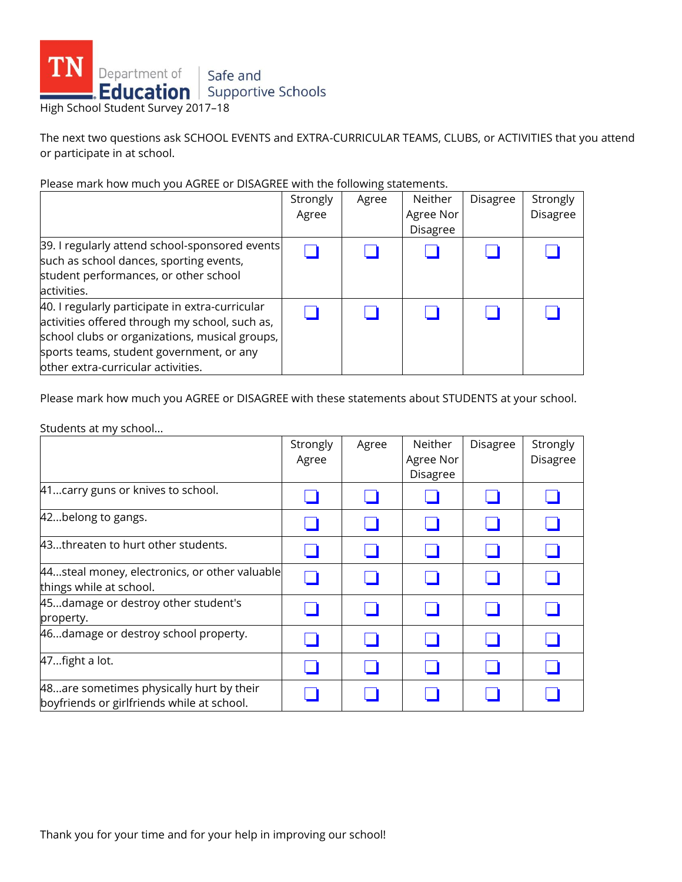

The next two questions ask SCHOOL EVENTS and EXTRA-CURRICULAR TEAMS, CLUBS, or ACTIVITIES that you attend or participate in at school.

Please mark how much you AGREE or DISAGREE with the following statements.

|                                                                                                                                                                                                                                       | Strongly<br>Agree | Agree | Neither<br>Agree Nor<br>Disagree | Disagree | Strongly<br><b>Disagree</b> |
|---------------------------------------------------------------------------------------------------------------------------------------------------------------------------------------------------------------------------------------|-------------------|-------|----------------------------------|----------|-----------------------------|
| 39. I regularly attend school-sponsored events<br>such as school dances, sporting events,<br>student performances, or other school<br>activities.                                                                                     |                   |       |                                  |          |                             |
| 40. I regularly participate in extra-curricular<br>activities offered through my school, such as,<br>school clubs or organizations, musical groups,<br>sports teams, student government, or any<br>other extra-curricular activities. |                   |       |                                  |          |                             |

Please mark how much you AGREE or DISAGREE with these statements about STUDENTS at your school.

Students at my school...

|                                                                                          | Strongly<br>Agree | Agree | Neither<br>Agree Nor<br>Disagree | <b>Disagree</b> | Strongly<br>Disagree |
|------------------------------------------------------------------------------------------|-------------------|-------|----------------------------------|-----------------|----------------------|
| 41 carry guns or knives to school.                                                       |                   |       |                                  |                 |                      |
| 42belong to gangs.                                                                       |                   |       |                                  |                 |                      |
| 43threaten to hurt other students.                                                       |                   |       |                                  |                 |                      |
| 44. steal money, electronics, or other valuable<br>things while at school.               |                   |       |                                  |                 |                      |
| 45damage or destroy other student's<br>property.                                         |                   |       |                                  |                 |                      |
| 46damage or destroy school property.                                                     |                   |       |                                  |                 |                      |
| 47fight a lot.                                                                           |                   |       |                                  |                 |                      |
| 48. are sometimes physically hurt by their<br>boyfriends or girlfriends while at school. |                   |       |                                  |                 |                      |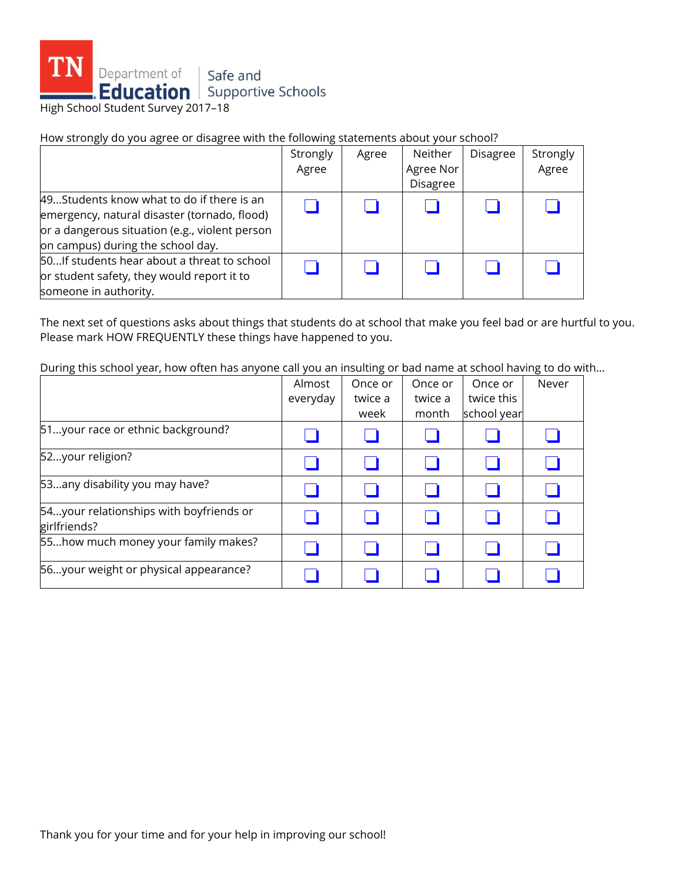

How strongly do you agree or disagree with the following statements about your school?

|                                                                                                                                                                                  | Strongly<br>Agree | Agree | Neither<br>Agree Nor<br><b>Disagree</b> | Disagree | Strongly<br>Agree |
|----------------------------------------------------------------------------------------------------------------------------------------------------------------------------------|-------------------|-------|-----------------------------------------|----------|-------------------|
| 49Students know what to do if there is an<br>emergency, natural disaster (tornado, flood)<br>or a dangerous situation (e.g., violent person<br>on campus) during the school day. |                   |       |                                         |          |                   |
| 50 If students hear about a threat to school<br>or student safety, they would report it to<br>someone in authority.                                                              |                   |       |                                         |          |                   |

The next set of questions asks about things that students do at school that make you feel bad or are hurtful to you. Please mark HOW FREQUENTLY these things have happened to you.

During this school year, how often has anyone call you an insulting or bad name at school having to do with...

|                                                         | Almost   | Once or | Once or | Once or     | Never |
|---------------------------------------------------------|----------|---------|---------|-------------|-------|
|                                                         | everyday | twice a | twice a | twice this  |       |
|                                                         |          | week    | month   | school year |       |
| 51your race or ethnic background?                       |          |         |         |             |       |
| 52your religion?                                        |          |         |         |             |       |
| 53any disability you may have?                          |          |         |         |             |       |
| 54your relationships with boyfriends or<br>girlfriends? |          |         |         |             |       |
| 55how much money your family makes?                     |          |         |         |             |       |
| 56your weight or physical appearance?                   |          |         |         |             |       |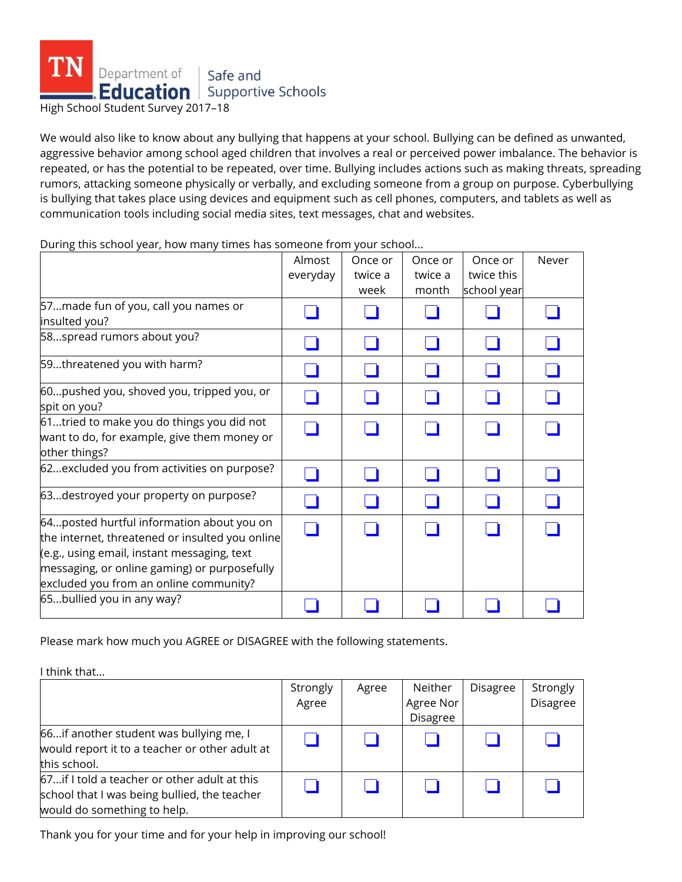

We would also like to know about any bullying that happens at your school. Bullying can be defined as unwanted, aggressive behavior among school aged children that involves a real or perceived power imbalance. The behavior is repeated, or has the potential to be repeated, over time. Bullying includes actions such as making threats, spreading rumors, attacking someone physically or verbally, and excluding someone from a group on purpose. Cyberbullying is bullying that takes place using devices and equipment such as cell phones, computers, and tablets as well as communication tools including social media sites, text messages, chat and websites.

|                                                 | Almost   | Once or | Once or | Once or     | Never |
|-------------------------------------------------|----------|---------|---------|-------------|-------|
|                                                 | everyday | twice a | twice a | twice this  |       |
|                                                 |          | week    | month   | school year |       |
| 57made fun of you, call you names or            |          |         |         |             |       |
| insulted you?                                   |          |         |         |             |       |
| 58spread rumors about you?                      |          |         |         |             |       |
| 59threatened you with harm?                     |          |         |         |             |       |
| 60pushed you, shoved you, tripped you, or       |          |         |         |             |       |
| spit on you?                                    |          |         |         |             |       |
| 61tried to make you do things you did not       |          |         |         |             |       |
| want to do, for example, give them money or     |          |         |         |             |       |
| other things?                                   |          |         |         |             |       |
| 62excluded you from activities on purpose?      |          |         |         |             |       |
| 63destroyed your property on purpose?           |          |         |         |             |       |
| 64 posted hurtful information about you on      |          |         |         |             |       |
| the internet, threatened or insulted you online |          |         |         |             |       |
| (e.g., using email, instant messaging, text     |          |         |         |             |       |
| messaging, or online gaming) or purposefully    |          |         |         |             |       |
| excluded you from an online community?          |          |         |         |             |       |
| 65bullied you in any way?                       |          |         |         |             |       |

During this school year, how many times has someone from your school...

Please mark how much you AGREE or DISAGREE with the following statements.

I think that...

|                                                                                                                              | Strongly<br>Agree | Agree | Neither<br>Agree Nor<br><b>Disagree</b> | <b>Disagree</b> | Strongly<br><b>Disagree</b> |
|------------------------------------------------------------------------------------------------------------------------------|-------------------|-------|-----------------------------------------|-----------------|-----------------------------|
| 66 if another student was bullying me, I<br>would report it to a teacher or other adult at<br>this school.                   |                   |       |                                         |                 |                             |
| 67 if I told a teacher or other adult at this<br>school that I was being bullied, the teacher<br>would do something to help. |                   |       |                                         |                 |                             |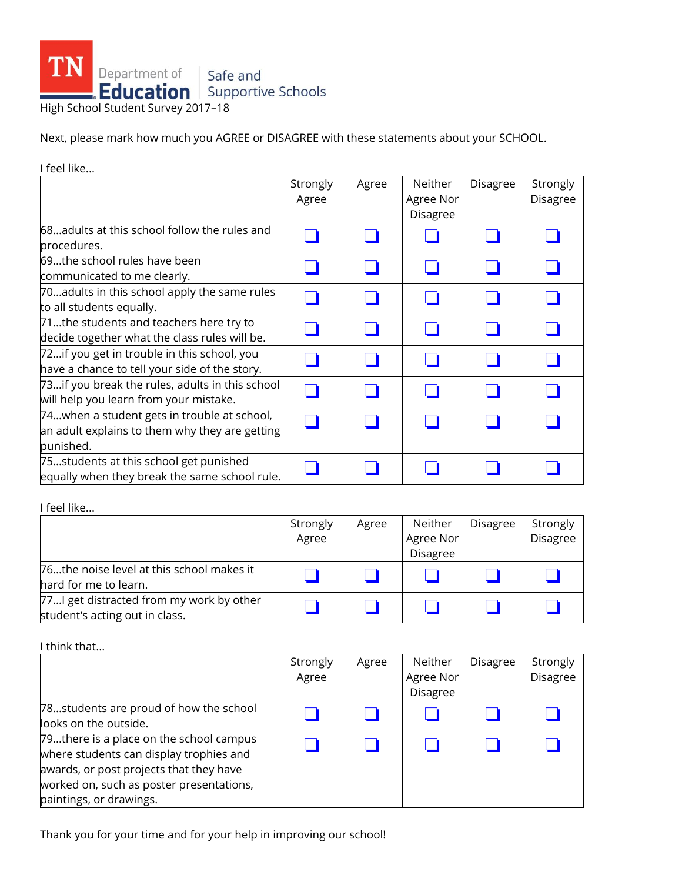

Next, please mark how much you AGREE or DISAGREE with these statements about your SCHOOL.

I feel like... **Strongly** Agree Agree Neither Agree Nor Disagree  $Disagree$  Strongly Disagree 68...adults at this school follow the rules and procedures. ❏ ❏ ❏ ❏ ❏ 69...the school rules have been communicated to me clearly. ❏ ❏ ❏ ❏ ❏ 70...adults in this school apply the same rules  $\begin{array}{|c|c|c|c|}\hline \textbf{1} & \textbf{2} & \textbf{3} & \textbf{4} \ \textbf{to all students equally.} \end{array}$ 71...the students and teachers here try to  $\overline{a}$  decide together what the class rules will be.  $\begin{array}{|c|c|c|c|c|}\hline \textbf{a} & \textbf{a} & \textbf{a} \end{array}$   $\begin{array}{|c|c|c|c|c|}\hline \textbf{a} & \textbf{a} & \textbf{a} \end{array}$ 72...if you get in trouble in this school, you have a chance to tell your side of the story. ❏ ❏ ❏ ❏ ❏ 73...if you break the rules, adults in this school of all the pound of each the rules, addits in this scriber  $\begin{bmatrix} \Box & \Box \end{bmatrix}$   $\begin{bmatrix} \Box & \Box \end{bmatrix}$   $\begin{bmatrix} \Box & \Box \end{bmatrix}$   $\begin{bmatrix} \Box & \Box \end{bmatrix}$ 74...when a student gets in trouble at school, an adult explains to them why they are getting punished. ❏ ❏ ❏ ❏ ❏ 75...students at this school get punished equally when they break the same school rule. ❏ ❏ ❏ ❏ ❏

I feel like...

|                                           | Strongly | Agree | Neither   | Disagree | Strongly        |
|-------------------------------------------|----------|-------|-----------|----------|-----------------|
|                                           | Agree    |       | Agree Nor |          | <b>Disagree</b> |
|                                           |          |       | Disagree  |          |                 |
| 76the noise level at this school makes it |          |       |           |          |                 |
| hard for me to learn.                     |          |       |           |          |                 |
| 77I get distracted from my work by other  |          |       |           |          |                 |
| student's acting out in class.            |          |       |           |          |                 |

I think that...

|                                                                                                                                                                                                      | Strongly<br>Agree | Agree | Neither<br>Agree Nor<br><b>Disagree</b> | <b>Disagree</b> | Strongly<br>Disagree |
|------------------------------------------------------------------------------------------------------------------------------------------------------------------------------------------------------|-------------------|-------|-----------------------------------------|-----------------|----------------------|
| 78students are proud of how the school<br>looks on the outside.                                                                                                                                      |                   |       |                                         |                 |                      |
| 79there is a place on the school campus<br>where students can display trophies and<br>awards, or post projects that they have<br>worked on, such as poster presentations,<br>paintings, or drawings. |                   |       |                                         |                 |                      |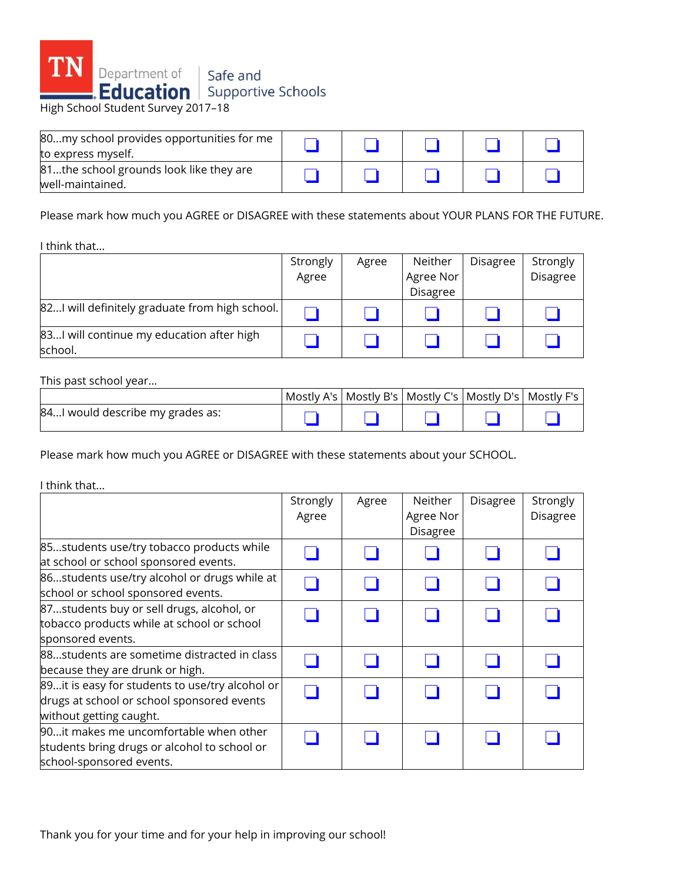

| 80my school provides opportunities for me<br>to express myself. |  |  |  |
|-----------------------------------------------------------------|--|--|--|
| 81the school grounds look like they are<br>well-maintained.     |  |  |  |

Please mark how much you AGREE or DISAGREE with these statements about YOUR PLANS FOR THE FUTURE.

I think that...

|                                                      | Strongly | Agree | Neither   | Disagree | Strongly        |
|------------------------------------------------------|----------|-------|-----------|----------|-----------------|
|                                                      | Agree    |       | Agree Nor |          | <b>Disagree</b> |
|                                                      |          |       | Disagree  |          |                 |
| 82 will definitely graduate from high school.        |          |       |           |          |                 |
| 83I will continue my education after high<br>school. |          |       |           |          |                 |

This past school year...

|                                  |  | Mostly A's   Mostly B's   Mostly C's   Mostly D's   Mostly F's |  |
|----------------------------------|--|----------------------------------------------------------------|--|
| 84I would describe my grades as: |  |                                                                |  |

Please mark how much you AGREE or DISAGREE with these statements about your SCHOOL.

I think that...

|                                                                                                                          | Strongly<br>Agree | Agree | Neither<br>Agree Nor<br>Disagree | Disagree | Strongly<br>Disagree |
|--------------------------------------------------------------------------------------------------------------------------|-------------------|-------|----------------------------------|----------|----------------------|
| 85students use/try tobacco products while<br>at school or school sponsored events.                                       |                   |       |                                  |          |                      |
| 86students use/try alcohol or drugs while at<br>school or school sponsored events.                                       |                   |       |                                  |          |                      |
| 87students buy or sell drugs, alcohol, or<br>tobacco products while at school or school                                  |                   |       |                                  |          |                      |
| sponsored events.<br>88students are sometime distracted in class<br>because they are drunk or high.                      |                   |       |                                  |          |                      |
| 89it is easy for students to use/try alcohol or<br>drugs at school or school sponsored events<br>without getting caught. |                   |       |                                  |          |                      |
| 90it makes me uncomfortable when other<br>students bring drugs or alcohol to school or<br>school-sponsored events.       |                   |       |                                  |          |                      |